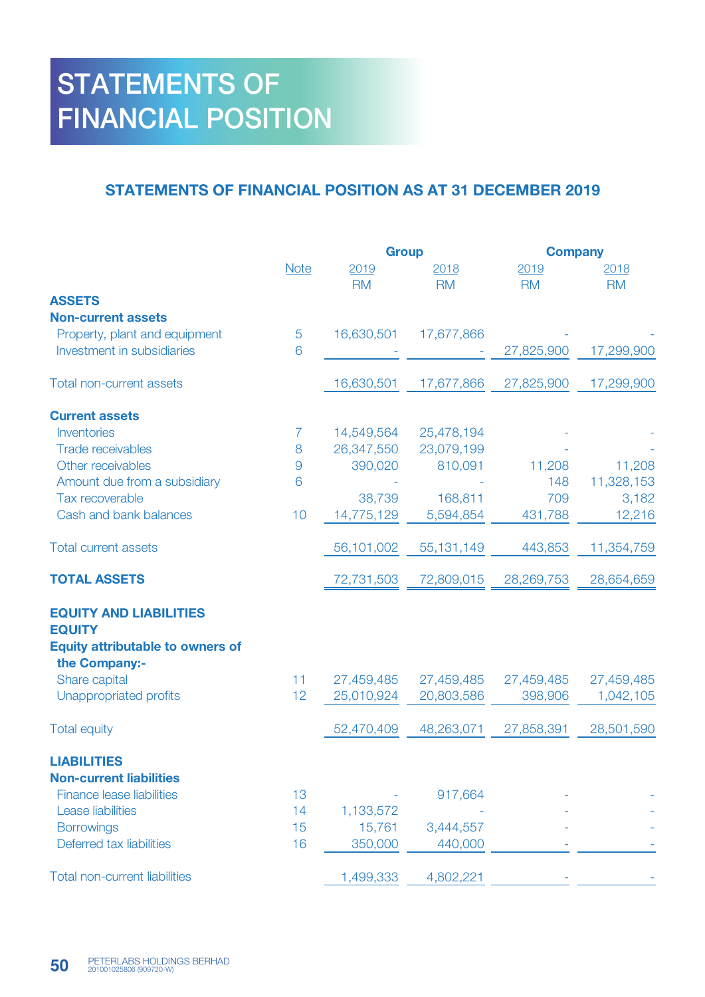## STATEMENTS OF FINANCIAL POSITION

## STATEMENTS OF FINANCIAL POSITION AS AT 31 DECEMBER 2019

|                                                          |             | <b>Group</b>      |                   | <b>Company</b>    |                   |
|----------------------------------------------------------|-------------|-------------------|-------------------|-------------------|-------------------|
|                                                          | <b>Note</b> | 2019<br><b>RM</b> | 2018<br><b>RM</b> | 2019<br><b>RM</b> | 2018<br><b>RM</b> |
| <b>ASSETS</b>                                            |             |                   |                   |                   |                   |
| <b>Non-current assets</b>                                |             |                   |                   |                   |                   |
| Property, plant and equipment                            | 5           | 16,630,501        | 17,677,866        |                   |                   |
| Investment in subsidiaries                               | 6           |                   |                   | 27,825,900        | 17,299,900        |
| <b>Total non-current assets</b>                          |             | 16,630,501        | 17,677,866        | 27,825,900        | 17,299,900        |
| <b>Current assets</b>                                    |             |                   |                   |                   |                   |
| Inventories                                              | 7           | 14,549,564        | 25,478,194        |                   |                   |
| <b>Trade receivables</b>                                 | 8           | 26,347,550        | 23,079,199        |                   |                   |
| Other receivables                                        | 9           | 390,020           | 810,091           | 11,208            | 11,208            |
| Amount due from a subsidiary                             | 6           |                   |                   | 148               | 11,328,153        |
| Tax recoverable                                          |             | 38,739            | 168,811           | 709               | 3,182             |
| Cash and bank balances                                   | 10          | 14,775,129        | 5,594,854         | 431,788           | 12,216            |
| <b>Total current assets</b>                              |             | 56,101,002        | 55,131,149        | 443,853           | 11,354,759        |
| <b>TOTAL ASSETS</b>                                      |             | 72,731,503        | 72,809,015        | 28,269,753        | 28,654,659        |
| <b>EQUITY AND LIABILITIES</b>                            |             |                   |                   |                   |                   |
| <b>EQUITY</b>                                            |             |                   |                   |                   |                   |
| <b>Equity attributable to owners of</b><br>the Company:- |             |                   |                   |                   |                   |
| Share capital                                            | 11          | 27,459,485        | 27,459,485        | 27,459,485        | 27,459,485        |
| Unappropriated profits                                   | 12          | 25,010,924        | 20,803,586        | 398,906           | 1,042,105         |
| <b>Total equity</b>                                      |             | 52,470,409        | 48,263,071        | 27,858,391        | 28,501,590        |
| <b>LIABILITIES</b>                                       |             |                   |                   |                   |                   |
| <b>Non-current liabilities</b>                           |             |                   |                   |                   |                   |
| <b>Finance lease liabilities</b>                         | 13          |                   | 917,664           |                   |                   |
| <b>Lease liabilities</b>                                 | 14          | 1,133,572         |                   |                   |                   |
| <b>Borrowings</b>                                        | 15          | 15,761            | 3,444,557         |                   |                   |
| Deferred tax liabilities                                 | 16          | 350,000           | 440,000           |                   |                   |
| <b>Total non-current liabilities</b>                     |             | 1,499,333         | 4,802,221         |                   |                   |